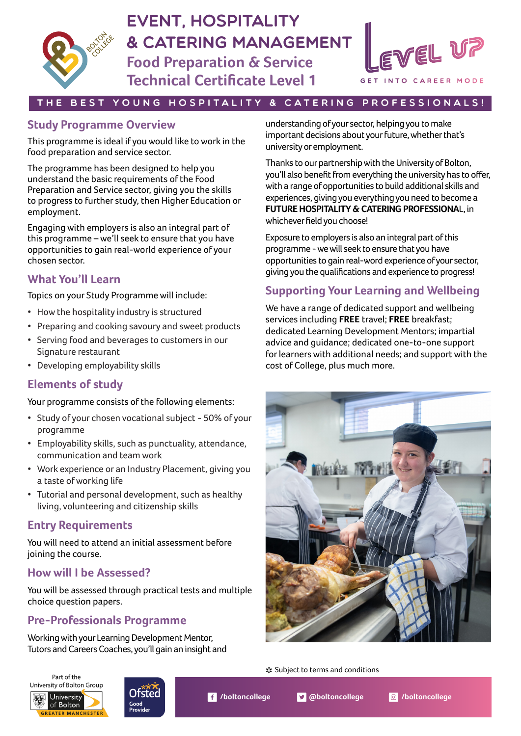

# eVENT, HOSPITALITY & CATERING MANAGEMENT

**Food Preparation & Service Technical Certificate Level 1**



#### THE BEST YOUNG HOSPITALITY & CATERING PROFESSIONALS!

## **Study Programme Overview**

This programme is ideal if you would like to work in the food preparation and service sector.

The programme has been designed to help you understand the basic requirements of the Food Preparation and Service sector, giving you the skills to progress to further study, then Higher Education or employment.

Engaging with employers is also an integral part of this programme – we'll seek to ensure that you have opportunities to gain real-world experience of your chosen sector.

## **What You'll Learn**

Topics on your Study Programme will include:

- How the hospitality industry is structured
- Preparing and cooking savoury and sweet products
- Serving food and beverages to customers in our Signature restaurant
- Developing employability skills

## **Elements of study**

Your programme consists of the following elements:

- Study of your chosen vocational subject 50% of your programme
- Employability skills, such as punctuality, attendance, communication and team work
- Work experience or an Industry Placement, giving you a taste of working life
- Tutorial and personal development, such as healthy living, volunteering and citizenship skills

## **Entry Requirements**

You will need to attend an initial assessment before joining the course.

## **How will I be Assessed?**

You will be assessed through practical tests and multiple choice question papers.

# **Pre-Professionals Programme**

Working with your Learning Development Mentor, Tutors and Careers Coaches, you'll gain an insight and



Thanks to our partnership with the University of Bolton, you'll also benefit from everything the university has to offer, with a range of opportunities to build additional skills and experiences, giving you everything you need to become a **FUTURE HOSPITALITY & CATERING PROFESSIONA**L, in whichever field you choose!

Exposure to employers is also an integral part of this programme - we will seek to ensure that you have opportunities to gain real-word experience of your sector, giving you the qualifications and experience to progress!

# **Supporting Your Learning and Wellbeing**

We have a range of dedicated support and wellbeing services including **FREE** travel; **FREE** breakfast; dedicated Learning Development Mentors; impartial advice and guidance; dedicated one-to-one support for learners with additional needs; and support with the cost of College, plus much more.



Subject to terms and conditions \*





**/boltoncollege @boltoncollege /boltoncollege**